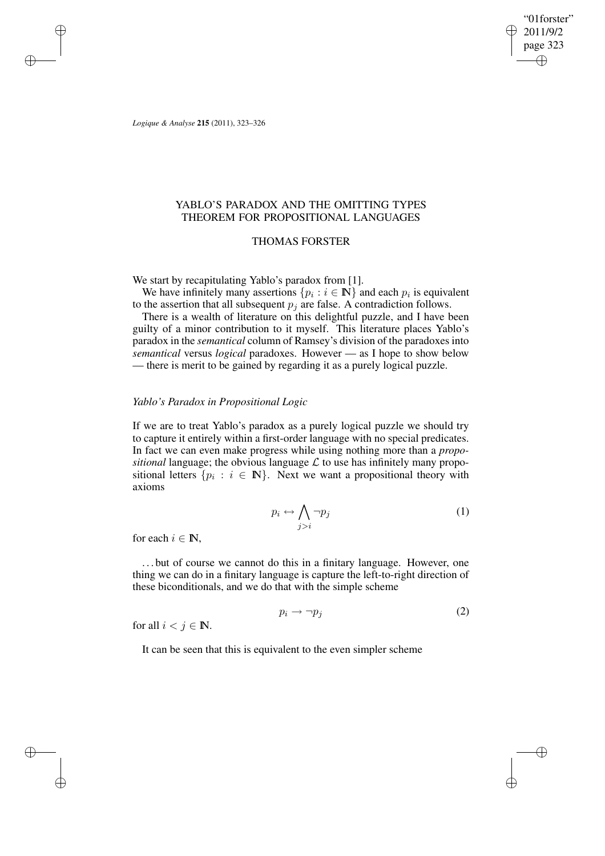"01forster" 2011/9/2 page 323 ✐ ✐

✐

✐

*Logique & Analyse* **215** (2011), 323–326

✐

✐

✐

✐

# YABLO'S PARADOX AND THE OMITTING TYPES THEOREM FOR PROPOSITIONAL LANGUAGES

## THOMAS FORSTER

We start by recapitulating Yablo's paradox from [1].

We have infinitely many assertions  $\{p_i : i \in \mathbb{N}\}\$  and each  $p_i$  is equivalent to the assertion that all subsequent  $p_i$  are false. A contradiction follows.

There is a wealth of literature on this delightful puzzle, and I have been guilty of a minor contribution to it myself. This literature places Yablo's paradox in the *semantical* column of Ramsey's division of the paradoxes into *semantical* versus *logical* paradoxes. However — as I hope to show below — there is merit to be gained by regarding it as a purely logical puzzle.

### *Yablo's Paradox in Propositional Logic*

If we are to treat Yablo's paradox as a purely logical puzzle we should try to capture it entirely within a first-order language with no special predicates. In fact we can even make progress while using nothing more than a *propositional* language; the obvious language  $\mathcal L$  to use has infinitely many propositional letters  $\{p_i : i \in \mathbb{N}\}\$ . Next we want a propositional theory with axioms

$$
p_i \leftrightarrow \bigwedge_{j>i} \neg p_j \tag{1}
$$

for each  $i \in \mathbb{N}$ ,

. . . but of course we cannot do this in a finitary language. However, one thing we can do in a finitary language is capture the left-to-right direction of these biconditionals, and we do that with the simple scheme

$$
p_i \to \neg p_j \tag{2}
$$

for all  $i < j \in \mathbb{N}$ .

It can be seen that this is equivalent to the even simpler scheme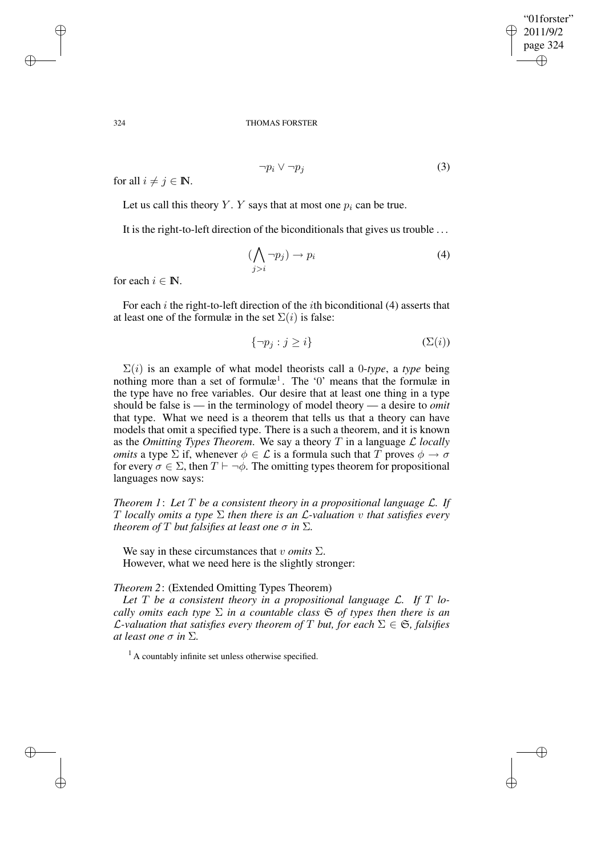✐

✐

#### 324 THOMAS FORSTER

for all  $i \neq j \in \mathbb{N}$ .

Let us call this theory Y. Y says that at most one  $p_i$  can be true.

It is the right-to-left direction of the biconditionals that gives us trouble . . .

$$
(\bigwedge_{j>i} \neg p_j) \to p_i \tag{4}
$$

 $\neg p_i \lor \neg p_j$  (3)

for each  $i \in \mathbb{N}$ .

For each  $i$  the right-to-left direction of the  $i$ th biconditional (4) asserts that at least one of the formulæ in the set  $\Sigma(i)$  is false:

$$
\{\neg p_j : j \ge i\} \tag{S(i)}
$$

 $\Sigma(i)$  is an example of what model theorists call a 0-*type*, a *type* being nothing more than a set of formul $x^1$ . The '0' means that the formulæ in the type have no free variables. Our desire that at least one thing in a type should be false is — in the terminology of model theory — a desire to *omit* that type. What we need is a theorem that tells us that a theory can have models that omit a specified type. There is a such a theorem, and it is known as the *Omitting Types Theorem.* We say a theory  $T$  in a language  $\mathcal{L}$  *locally omits* a type  $\Sigma$  if, whenever  $\phi \in \mathcal{L}$  is a formula such that T proves  $\phi \to \sigma$ for every  $\sigma \in \Sigma$ , then  $T \vdash \neg \phi$ . The omitting types theorem for propositional languages now says:

*Theorem 1*: *Let* T *be a consistent theory in a propositional language* L*. If* T *locally omits a type* Σ *then there is an* L*-valuation* v *that satisfies every theorem of*  $T$  *but falsifies at least one*  $\sigma$  *in*  $\Sigma$ *.* 

We say in these circumstances that  $v$  *omits*  $\Sigma$ . However, what we need here is the slightly stronger:

## *Theorem 2*: (Extended Omitting Types Theorem)

*Let* T *be a consistent theory in a propositional language* L*. If* T *locally omits each type*  $\Sigma$  *in a countable class*  $\mathfrak{S}$  *of types then there is an C*-valuation that satisfies every theorem of T but, for each  $\Sigma \in \mathfrak{S}$ , falsifies *at least one*  $\sigma$  *in*  $\Sigma$ *.* 

 $<sup>1</sup>$  A countably infinite set unless otherwise specified.</sup>

✐

✐

✐

✐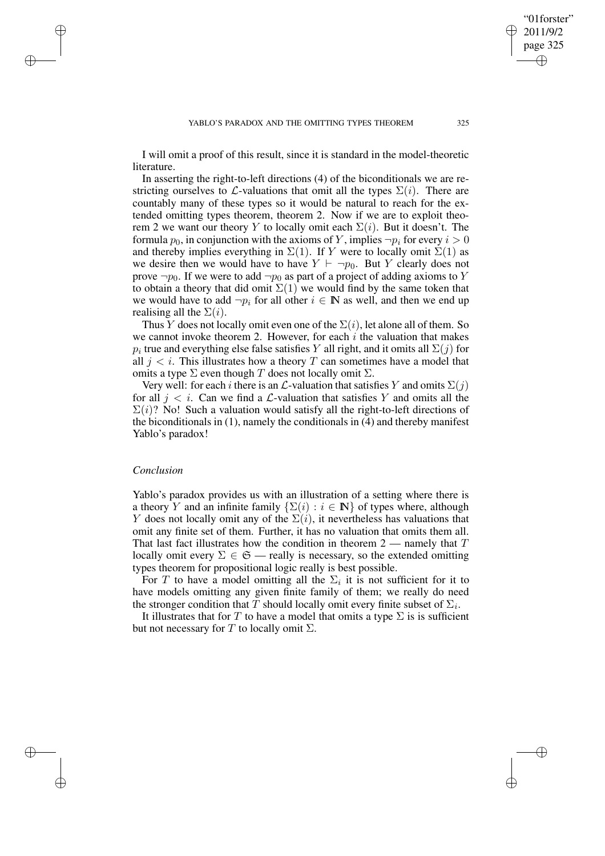I will omit a proof of this result, since it is standard in the model-theoretic literature.

In asserting the right-to-left directions (4) of the biconditionals we are restricting ourselves to L-valuations that omit all the types  $\Sigma(i)$ . There are countably many of these types so it would be natural to reach for the extended omitting types theorem, theorem 2. Now if we are to exploit theorem 2 we want our theory Y to locally omit each  $\Sigma(i)$ . But it doesn't. The formula  $p_0$ , in conjunction with the axioms of Y, implies  $\neg p_i$  for every  $i > 0$ and thereby implies everything in  $\Sigma(1)$ . If Y were to locally omit  $\Sigma(1)$  as we desire then we would have to have  $Y \vdash \neg p_0$ . But Y clearly does not prove  $\neg p_0$ . If we were to add  $\neg p_0$  as part of a project of adding axioms to Y to obtain a theory that did omit  $\Sigma(1)$  we would find by the same token that we would have to add  $\neg p_i$  for all other  $i \in \mathbb{N}$  as well, and then we end up realising all the  $\Sigma(i)$ .

Thus Y does not locally omit even one of the  $\Sigma(i)$ , let alone all of them. So we cannot invoke theorem 2. However, for each  $i$  the valuation that makes  $p_i$  true and everything else false satisfies  $Y$  all right, and it omits all  $\Sigma(j)$  for all  $j < i$ . This illustrates how a theory T can sometimes have a model that omits a type  $\Sigma$  even though T does not locally omit  $\Sigma$ .

Very well: for each *i* there is an  $\mathcal{L}$ -valuation that satisfies Y and omits  $\Sigma(j)$ for all  $j < i$ . Can we find a  $\mathcal{L}$ -valuation that satisfies Y and omits all the  $\Sigma(i)$ ? No! Such a valuation would satisfy all the right-to-left directions of the biconditionals in (1), namely the conditionals in (4) and thereby manifest Yablo's paradox!

#### *Conclusion*

✐

✐

✐

✐

Yablo's paradox provides us with an illustration of a setting where there is a theory Y and an infinite family  $\{\Sigma(i) : i \in \mathbb{N}\}\$  of types where, although Y does not locally omit any of the  $\Sigma(i)$ , it nevertheless has valuations that omit any finite set of them. Further, it has no valuation that omits them all. That last fact illustrates how the condition in theorem  $2$  — namely that  $T$ locally omit every  $\Sigma \in \mathfrak{S}$  — really is necessary, so the extended omitting types theorem for propositional logic really is best possible.

For T to have a model omitting all the  $\Sigma_i$  it is not sufficient for it to have models omitting any given finite family of them; we really do need the stronger condition that T should locally omit every finite subset of  $\Sigma_i$ .

It illustrates that for T to have a model that omits a type  $\Sigma$  is is sufficient but not necessary for T to locally omit  $\Sigma$ .

"01forster" 2011/9/2 page 325

✐

✐

✐

✐